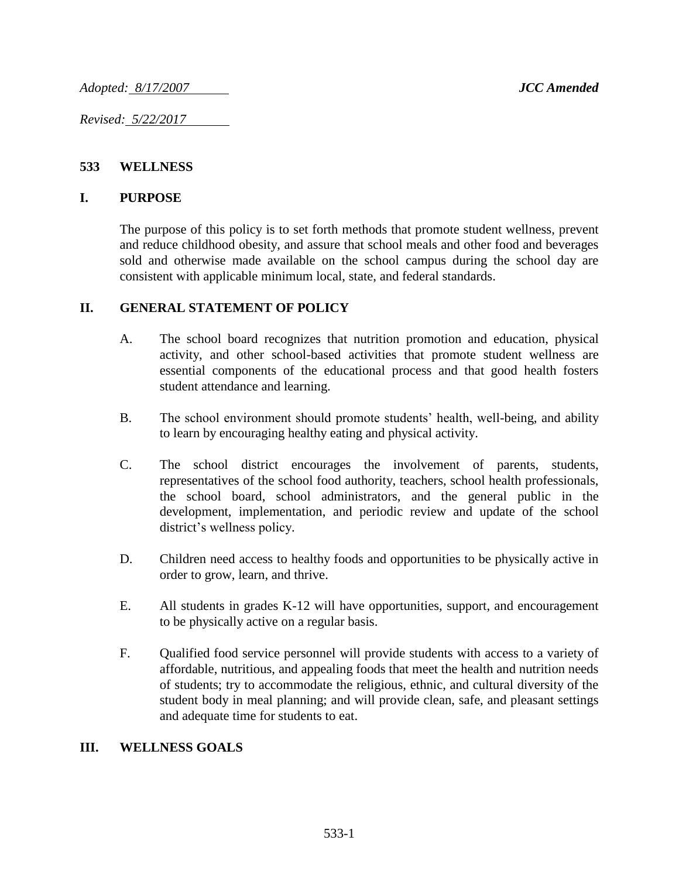*Adopted: 8/17/2007 JCC Amended*

*Revised: 5/22/2017* 

### **533 WELLNESS**

#### **I. PURPOSE**

The purpose of this policy is to set forth methods that promote student wellness, prevent and reduce childhood obesity, and assure that school meals and other food and beverages sold and otherwise made available on the school campus during the school day are consistent with applicable minimum local, state, and federal standards.

### **II. GENERAL STATEMENT OF POLICY**

- A. The school board recognizes that nutrition promotion and education, physical activity, and other school-based activities that promote student wellness are essential components of the educational process and that good health fosters student attendance and learning.
- B. The school environment should promote students' health, well-being, and ability to learn by encouraging healthy eating and physical activity.
- C. The school district encourages the involvement of parents, students, representatives of the school food authority, teachers, school health professionals, the school board, school administrators, and the general public in the development, implementation, and periodic review and update of the school district's wellness policy.
- D. Children need access to healthy foods and opportunities to be physically active in order to grow, learn, and thrive.
- E. All students in grades K-12 will have opportunities, support, and encouragement to be physically active on a regular basis.
- F. Qualified food service personnel will provide students with access to a variety of affordable, nutritious, and appealing foods that meet the health and nutrition needs of students; try to accommodate the religious, ethnic, and cultural diversity of the student body in meal planning; and will provide clean, safe, and pleasant settings and adequate time for students to eat.

### **III. WELLNESS GOALS**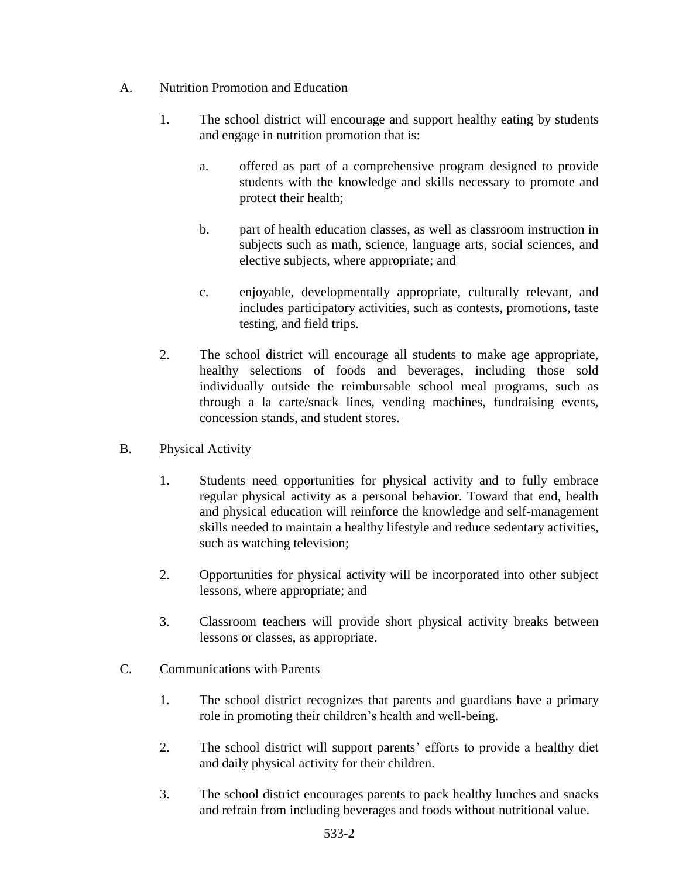## A. Nutrition Promotion and Education

- 1. The school district will encourage and support healthy eating by students and engage in nutrition promotion that is:
	- a. offered as part of a comprehensive program designed to provide students with the knowledge and skills necessary to promote and protect their health;
	- b. part of health education classes, as well as classroom instruction in subjects such as math, science, language arts, social sciences, and elective subjects, where appropriate; and
	- c. enjoyable, developmentally appropriate, culturally relevant, and includes participatory activities, such as contests, promotions, taste testing, and field trips.
- 2. The school district will encourage all students to make age appropriate, healthy selections of foods and beverages, including those sold individually outside the reimbursable school meal programs, such as through a la carte/snack lines, vending machines, fundraising events, concession stands, and student stores.
- B. Physical Activity
	- 1. Students need opportunities for physical activity and to fully embrace regular physical activity as a personal behavior. Toward that end, health and physical education will reinforce the knowledge and self-management skills needed to maintain a healthy lifestyle and reduce sedentary activities, such as watching television;
	- 2. Opportunities for physical activity will be incorporated into other subject lessons, where appropriate; and
	- 3. Classroom teachers will provide short physical activity breaks between lessons or classes, as appropriate.

# C. Communications with Parents

- 1. The school district recognizes that parents and guardians have a primary role in promoting their children's health and well-being.
- 2. The school district will support parents' efforts to provide a healthy diet and daily physical activity for their children.
- 3. The school district encourages parents to pack healthy lunches and snacks and refrain from including beverages and foods without nutritional value.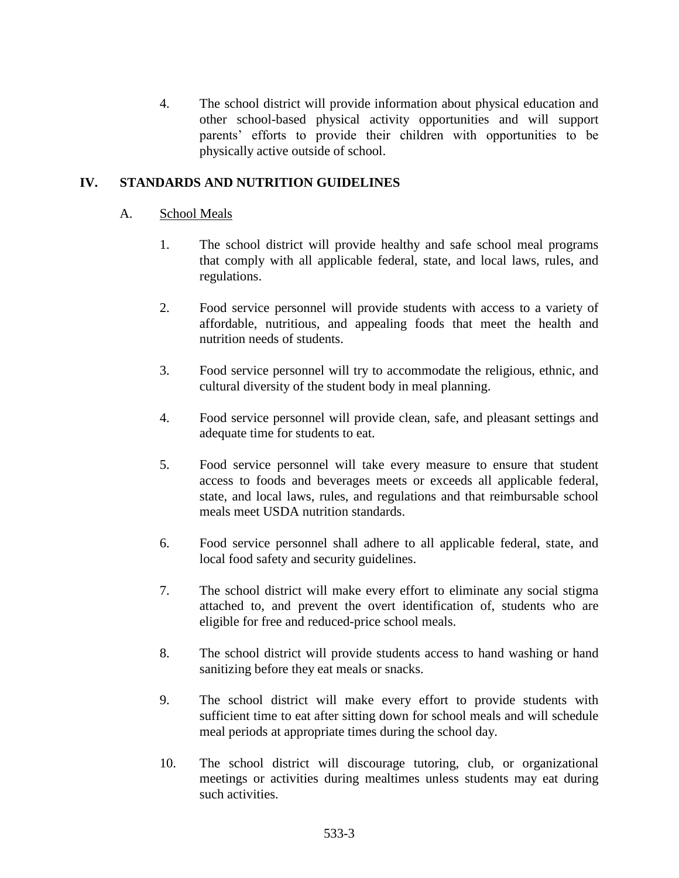4. The school district will provide information about physical education and other school-based physical activity opportunities and will support parents' efforts to provide their children with opportunities to be physically active outside of school.

## **IV. STANDARDS AND NUTRITION GUIDELINES**

#### A. School Meals

- 1. The school district will provide healthy and safe school meal programs that comply with all applicable federal, state, and local laws, rules, and regulations.
- 2. Food service personnel will provide students with access to a variety of affordable, nutritious, and appealing foods that meet the health and nutrition needs of students.
- 3. Food service personnel will try to accommodate the religious, ethnic, and cultural diversity of the student body in meal planning.
- 4. Food service personnel will provide clean, safe, and pleasant settings and adequate time for students to eat.
- 5. Food service personnel will take every measure to ensure that student access to foods and beverages meets or exceeds all applicable federal, state, and local laws, rules, and regulations and that reimbursable school meals meet USDA nutrition standards.
- 6. Food service personnel shall adhere to all applicable federal, state, and local food safety and security guidelines.
- 7. The school district will make every effort to eliminate any social stigma attached to, and prevent the overt identification of, students who are eligible for free and reduced-price school meals.
- 8. The school district will provide students access to hand washing or hand sanitizing before they eat meals or snacks.
- 9. The school district will make every effort to provide students with sufficient time to eat after sitting down for school meals and will schedule meal periods at appropriate times during the school day.
- 10. The school district will discourage tutoring, club, or organizational meetings or activities during mealtimes unless students may eat during such activities.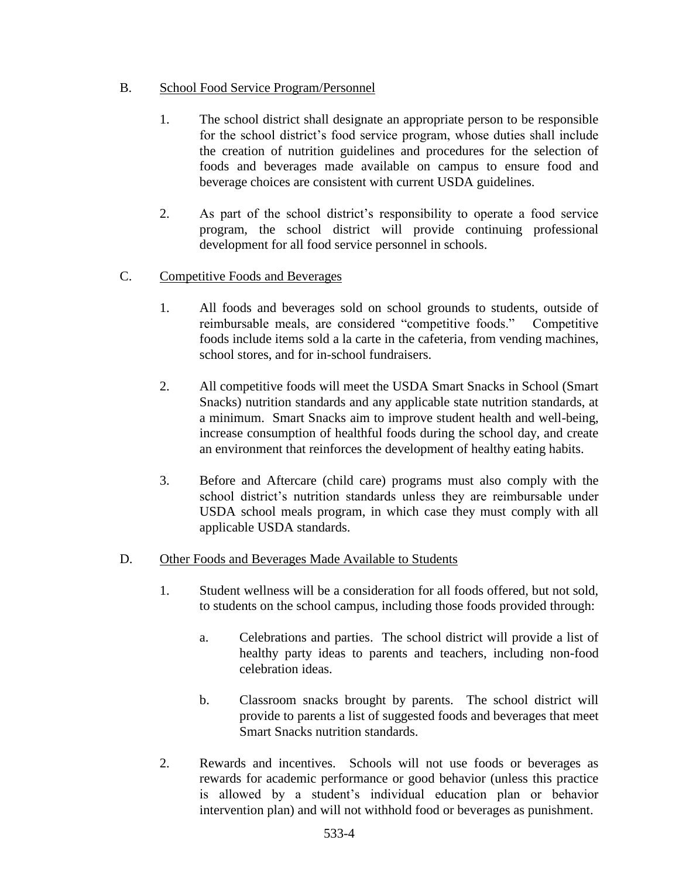## B. School Food Service Program/Personnel

- 1. The school district shall designate an appropriate person to be responsible for the school district's food service program, whose duties shall include the creation of nutrition guidelines and procedures for the selection of foods and beverages made available on campus to ensure food and beverage choices are consistent with current USDA guidelines.
- 2. As part of the school district's responsibility to operate a food service program, the school district will provide continuing professional development for all food service personnel in schools.
- C. Competitive Foods and Beverages
	- 1. All foods and beverages sold on school grounds to students, outside of reimbursable meals, are considered "competitive foods." Competitive foods include items sold a la carte in the cafeteria, from vending machines, school stores, and for in-school fundraisers.
	- 2. All competitive foods will meet the USDA Smart Snacks in School (Smart Snacks) nutrition standards and any applicable state nutrition standards, at a minimum. Smart Snacks aim to improve student health and well-being, increase consumption of healthful foods during the school day, and create an environment that reinforces the development of healthy eating habits.
	- 3. Before and Aftercare (child care) programs must also comply with the school district's nutrition standards unless they are reimbursable under USDA school meals program, in which case they must comply with all applicable USDA standards.

### D. Other Foods and Beverages Made Available to Students

- 1. Student wellness will be a consideration for all foods offered, but not sold, to students on the school campus, including those foods provided through:
	- a. Celebrations and parties. The school district will provide a list of healthy party ideas to parents and teachers, including non-food celebration ideas.
	- b. Classroom snacks brought by parents. The school district will provide to parents a list of suggested foods and beverages that meet Smart Snacks nutrition standards.
- 2. Rewards and incentives. Schools will not use foods or beverages as rewards for academic performance or good behavior (unless this practice is allowed by a student's individual education plan or behavior intervention plan) and will not withhold food or beverages as punishment.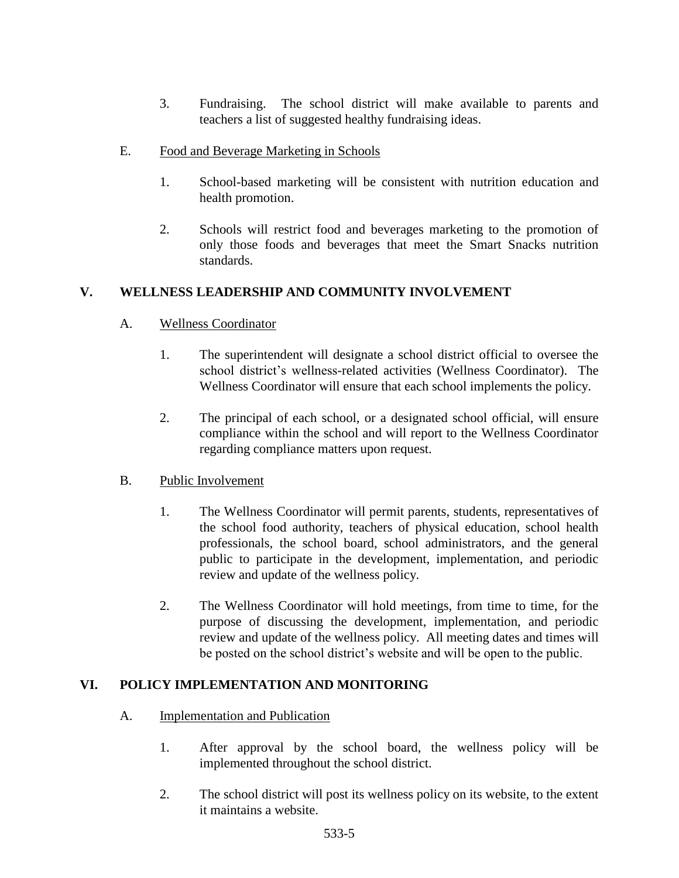- 3. Fundraising. The school district will make available to parents and teachers a list of suggested healthy fundraising ideas.
- E. Food and Beverage Marketing in Schools
	- 1. School-based marketing will be consistent with nutrition education and health promotion.
	- 2. Schools will restrict food and beverages marketing to the promotion of only those foods and beverages that meet the Smart Snacks nutrition standards.

# **V. WELLNESS LEADERSHIP AND COMMUNITY INVOLVEMENT**

## A. Wellness Coordinator

- 1. The superintendent will designate a school district official to oversee the school district's wellness-related activities (Wellness Coordinator). The Wellness Coordinator will ensure that each school implements the policy.
- 2. The principal of each school, or a designated school official, will ensure compliance within the school and will report to the Wellness Coordinator regarding compliance matters upon request.

### B. Public Involvement

- 1. The Wellness Coordinator will permit parents, students, representatives of the school food authority, teachers of physical education, school health professionals, the school board, school administrators, and the general public to participate in the development, implementation, and periodic review and update of the wellness policy.
- 2. The Wellness Coordinator will hold meetings, from time to time, for the purpose of discussing the development, implementation, and periodic review and update of the wellness policy. All meeting dates and times will be posted on the school district's website and will be open to the public.

# **VI. POLICY IMPLEMENTATION AND MONITORING**

- A. Implementation and Publication
	- 1. After approval by the school board, the wellness policy will be implemented throughout the school district.
	- 2. The school district will post its wellness policy on its website, to the extent it maintains a website.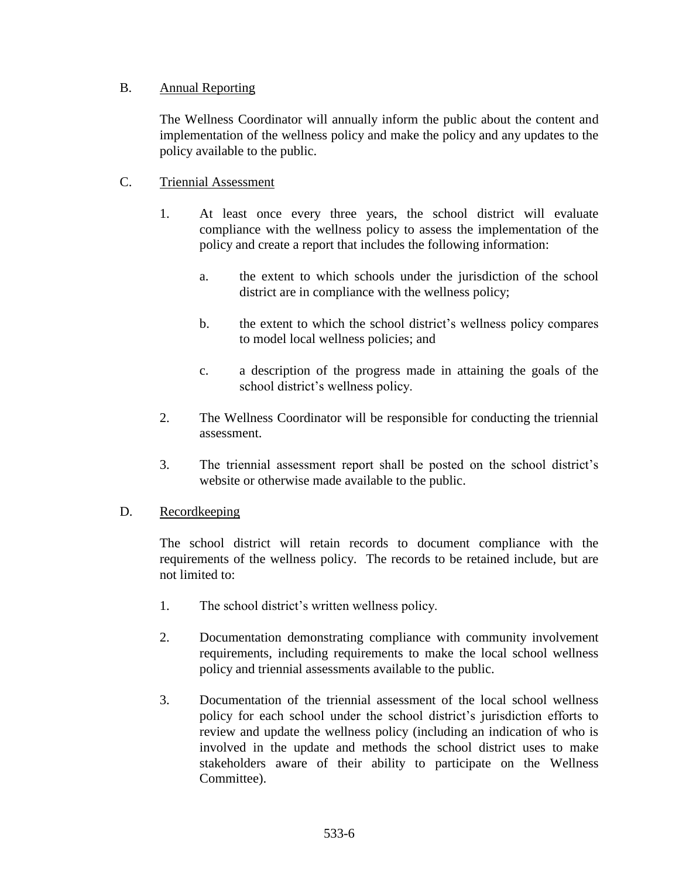## B. Annual Reporting

The Wellness Coordinator will annually inform the public about the content and implementation of the wellness policy and make the policy and any updates to the policy available to the public.

## C. Triennial Assessment

- 1. At least once every three years, the school district will evaluate compliance with the wellness policy to assess the implementation of the policy and create a report that includes the following information:
	- a. the extent to which schools under the jurisdiction of the school district are in compliance with the wellness policy;
	- b. the extent to which the school district's wellness policy compares to model local wellness policies; and
	- c. a description of the progress made in attaining the goals of the school district's wellness policy.
- 2. The Wellness Coordinator will be responsible for conducting the triennial assessment.
- 3. The triennial assessment report shall be posted on the school district's website or otherwise made available to the public.

### D. Recordkeeping

The school district will retain records to document compliance with the requirements of the wellness policy. The records to be retained include, but are not limited to:

- 1. The school district's written wellness policy.
- 2. Documentation demonstrating compliance with community involvement requirements, including requirements to make the local school wellness policy and triennial assessments available to the public.
- 3. Documentation of the triennial assessment of the local school wellness policy for each school under the school district's jurisdiction efforts to review and update the wellness policy (including an indication of who is involved in the update and methods the school district uses to make stakeholders aware of their ability to participate on the Wellness Committee).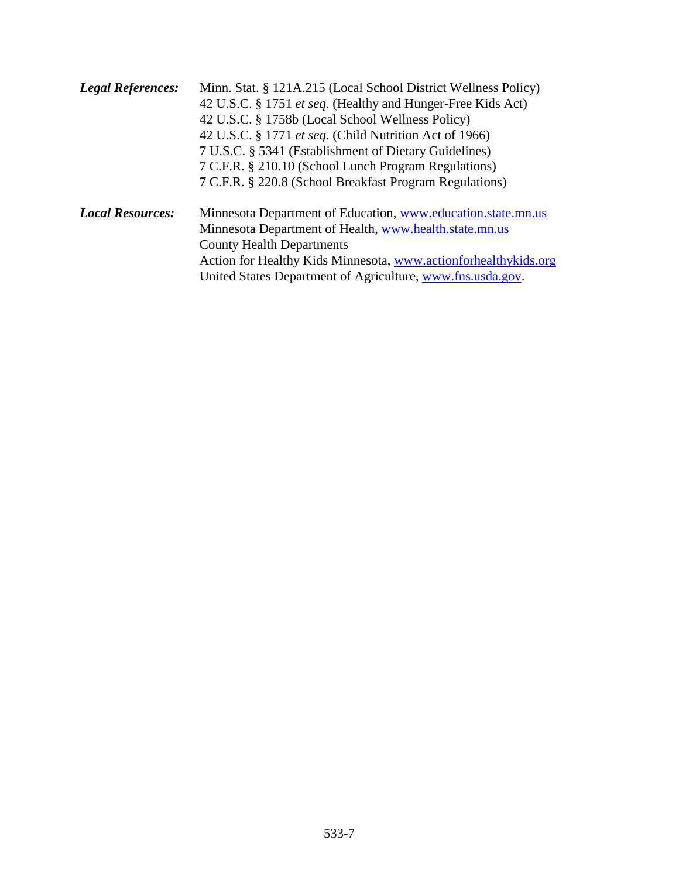| <b>Legal References:</b> | Minn. Stat. § 121A.215 (Local School District Wellness Policy)<br>42 U.S.C. § 1751 et seq. (Healthy and Hunger-Free Kids Act)<br>42 U.S.C. § 1758b (Local School Wellness Policy)<br>42 U.S.C. § 1771 <i>et seq.</i> (Child Nutrition Act of 1966)<br>7 U.S.C. § 5341 (Establishment of Dietary Guidelines)<br>7 C.F.R. § 210.10 (School Lunch Program Regulations) |
|--------------------------|---------------------------------------------------------------------------------------------------------------------------------------------------------------------------------------------------------------------------------------------------------------------------------------------------------------------------------------------------------------------|
|                          | 7 C.F.R. § 220.8 (School Breakfast Program Regulations)                                                                                                                                                                                                                                                                                                             |
| <b>Local Resources:</b>  | Minnesota Department of Education, www.education.state.mn.us<br>Minnesota Department of Health, www.health.state.mn.us                                                                                                                                                                                                                                              |
|                          | <b>County Health Departments</b>                                                                                                                                                                                                                                                                                                                                    |
|                          | Action for Healthy Kids Minnesota, www.actionforhealthykids.org                                                                                                                                                                                                                                                                                                     |
|                          | United States Department of Agriculture, www.fns.usda.gov.                                                                                                                                                                                                                                                                                                          |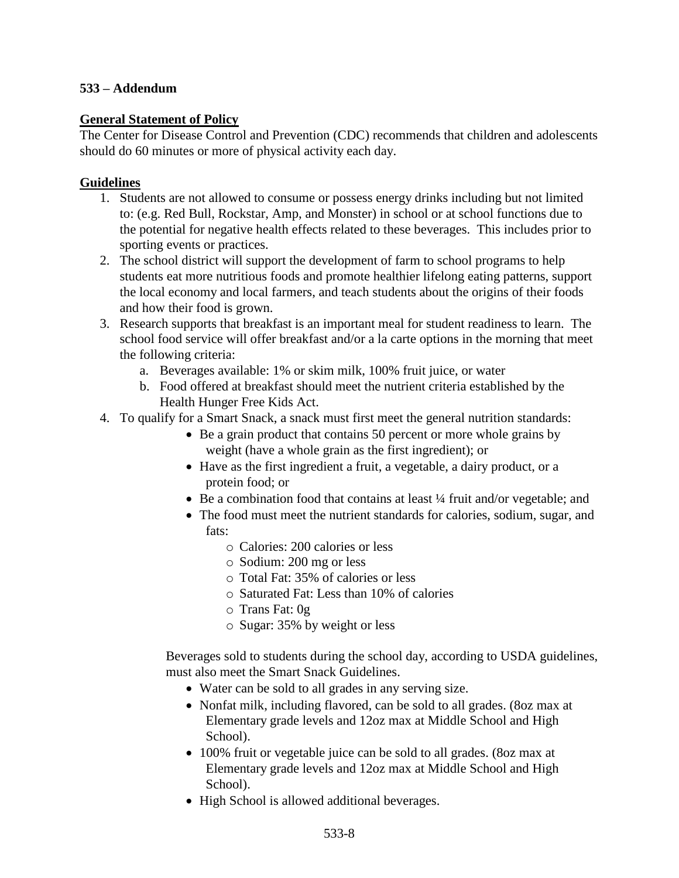#### **533 – Addendum**

#### **General Statement of Policy**

The Center for Disease Control and Prevention (CDC) recommends that children and adolescents should do 60 minutes or more of physical activity each day.

#### **Guidelines**

- 1. Students are not allowed to consume or possess energy drinks including but not limited to: (e.g. Red Bull, Rockstar, Amp, and Monster) in school or at school functions due to the potential for negative health effects related to these beverages. This includes prior to sporting events or practices.
- 2. The school district will support the development of farm to school programs to help students eat more nutritious foods and promote healthier lifelong eating patterns, support the local economy and local farmers, and teach students about the origins of their foods and how their food is grown.
- 3. Research supports that breakfast is an important meal for student readiness to learn. The school food service will offer breakfast and/or a la carte options in the morning that meet the following criteria:
	- a. Beverages available: 1% or skim milk, 100% fruit juice, or water
	- b. Food offered at breakfast should meet the nutrient criteria established by the Health Hunger Free Kids Act.
- 4. To qualify for a Smart Snack, a snack must first meet the general nutrition standards:
	- Be a grain product that contains 50 percent or more whole grains by weight (have a whole grain as the first ingredient); or
	- Have as the first ingredient a fruit, a vegetable, a dairy product, or a protein food; or
	- Be a combination food that contains at least  $\frac{1}{4}$  fruit and/or vegetable; and
	- The food must meet the nutrient standards for calories, sodium, sugar, and fats:
		- o Calories: 200 calories or less
		- o Sodium: 200 mg or less
		- o Total Fat: 35% of calories or less
		- o Saturated Fat: Less than 10% of calories
		- o Trans Fat: 0g
		- o Sugar: 35% by weight or less

Beverages sold to students during the school day, according to USDA guidelines, must also meet the Smart Snack Guidelines.

- Water can be sold to all grades in any serving size.
- Nonfat milk, including flavored, can be sold to all grades. (8oz max at Elementary grade levels and 12oz max at Middle School and High School).
- 100% fruit or vegetable juice can be sold to all grades. (8oz max at Elementary grade levels and 12oz max at Middle School and High School).
- High School is allowed additional beverages.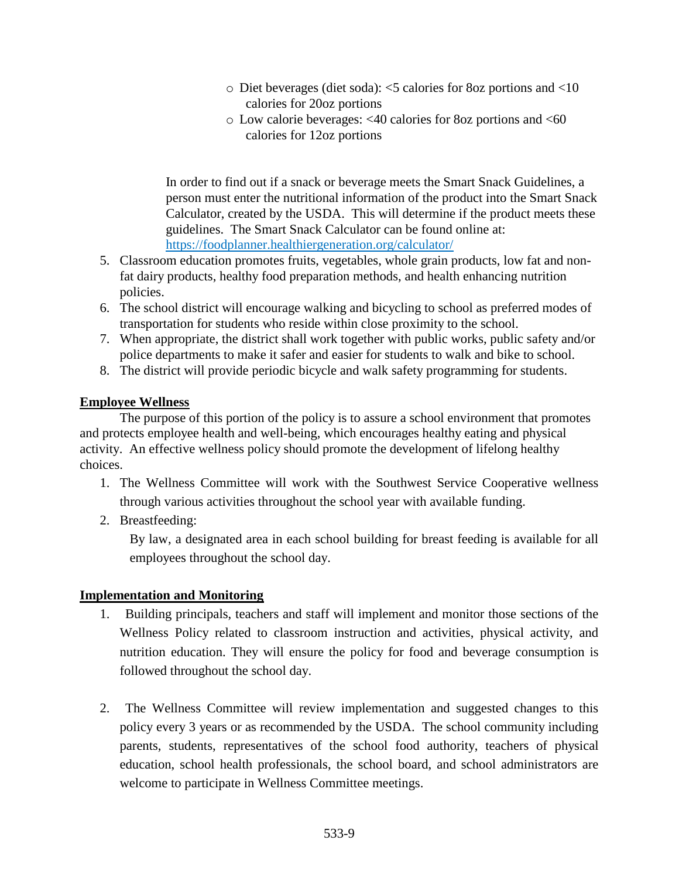- o Diet beverages (diet soda): <5 calories for 8oz portions and <10 calories for 20oz portions
- o Low calorie beverages: <40 calories for 8oz portions and <60 calories for 12oz portions

In order to find out if a snack or beverage meets the Smart Snack Guidelines, a person must enter the nutritional information of the product into the Smart Snack Calculator, created by the USDA. This will determine if the product meets these guidelines. The Smart Snack Calculator can be found online at: <https://foodplanner.healthiergeneration.org/calculator/>

- 5. Classroom education promotes fruits, vegetables, whole grain products, low fat and nonfat dairy products, healthy food preparation methods, and health enhancing nutrition policies.
- 6. The school district will encourage walking and bicycling to school as preferred modes of transportation for students who reside within close proximity to the school.
- 7. When appropriate, the district shall work together with public works, public safety and/or police departments to make it safer and easier for students to walk and bike to school.
- 8. The district will provide periodic bicycle and walk safety programming for students.

# **Employee Wellness**

The purpose of this portion of the policy is to assure a school environment that promotes and protects employee health and well-being, which encourages healthy eating and physical activity. An effective wellness policy should promote the development of lifelong healthy choices.

- 1. The Wellness Committee will work with the Southwest Service Cooperative wellness through various activities throughout the school year with available funding.
- 2. Breastfeeding:

By law, a designated area in each school building for breast feeding is available for all employees throughout the school day.

# **Implementation and Monitoring**

- 1. Building principals, teachers and staff will implement and monitor those sections of the Wellness Policy related to classroom instruction and activities, physical activity, and nutrition education. They will ensure the policy for food and beverage consumption is followed throughout the school day.
- 2. The Wellness Committee will review implementation and suggested changes to this policy every 3 years or as recommended by the USDA. The school community including parents, students, representatives of the school food authority, teachers of physical education, school health professionals, the school board, and school administrators are welcome to participate in Wellness Committee meetings.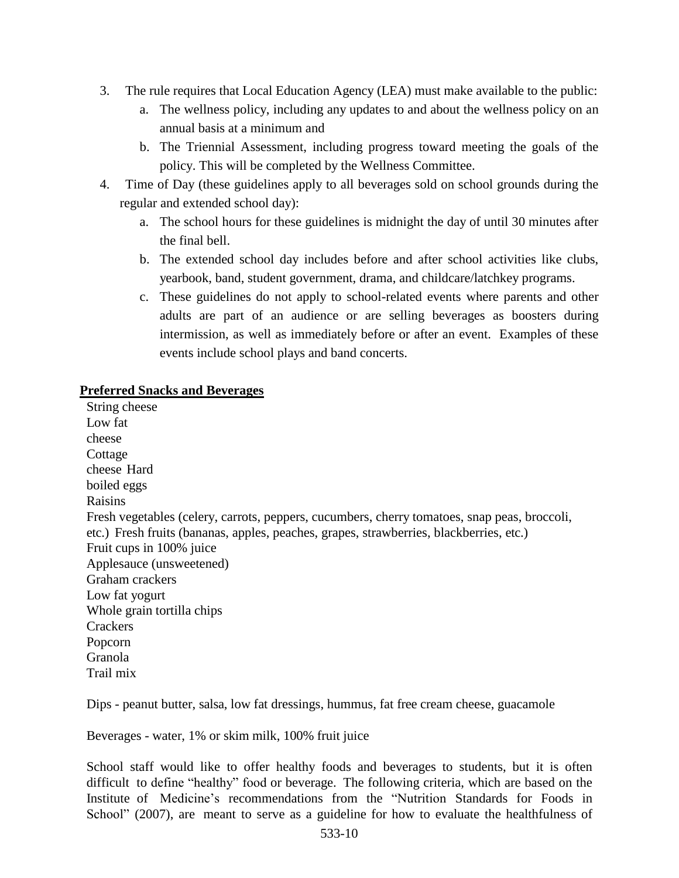- 3. The rule requires that Local Education Agency (LEA) must make available to the public:
	- a. The wellness policy, including any updates to and about the wellness policy on an annual basis at a minimum and
	- b. The Triennial Assessment, including progress toward meeting the goals of the policy. This will be completed by the Wellness Committee.
- 4. Time of Day (these guidelines apply to all beverages sold on school grounds during the regular and extended school day):
	- a. The school hours for these guidelines is midnight the day of until 30 minutes after the final bell.
	- b. The extended school day includes before and after school activities like clubs, yearbook, band, student government, drama, and childcare/latchkey programs.
	- c. These guidelines do not apply to school-related events where parents and other adults are part of an audience or are selling beverages as boosters during intermission, as well as immediately before or after an event. Examples of these events include school plays and band concerts.

#### **Preferred Snacks and Beverages**

String cheese Low fat cheese **Cottage** cheese Hard boiled eggs Raisins Fresh vegetables (celery, carrots, peppers, cucumbers, cherry tomatoes, snap peas, broccoli, etc.) Fresh fruits (bananas, apples, peaches, grapes, strawberries, blackberries, etc.) Fruit cups in 100% juice Applesauce (unsweetened) Graham crackers Low fat yogurt Whole grain tortilla chips **Crackers** Popcorn Granola Trail mix

Dips - peanut butter, salsa, low fat dressings, hummus, fat free cream cheese, guacamole

Beverages - water, 1% or skim milk, 100% fruit juice

School staff would like to offer healthy foods and beverages to students, but it is often difficult to define "healthy" food or beverage. The following criteria, which are based on the Institute of Medicine's recommendations from the "Nutrition Standards for Foods in School" (2007), are meant to serve as a guideline for how to evaluate the healthfulness of